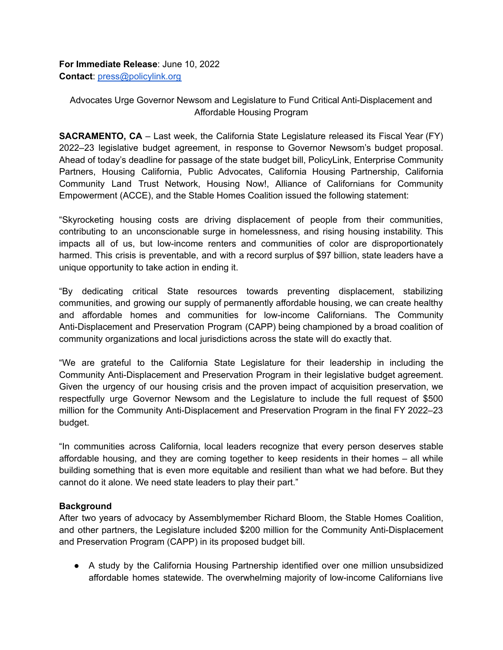**For Immediate Release**: June 10, 2022 **Contact**: [press@policylink.org](mailto:press@policylink.org)

Advocates Urge Governor Newsom and Legislature to Fund Critical Anti-Displacement and Affordable Housing Program

**SACRAMENTO, CA** – Last week, the California State Legislature released its Fiscal Year (FY) 2022–23 legislative budget agreement, in response to Governor Newsom's budget proposal. Ahead of today's deadline for passage of the state budget bill, PolicyLink, Enterprise Community Partners, Housing California, Public Advocates, California Housing Partnership, California Community Land Trust Network, Housing Now!, Alliance of Californians for Community Empowerment (ACCE), and the Stable Homes Coalition issued the following statement:

"Skyrocketing housing costs are driving displacement of people from their communities, contributing to an unconscionable surge in homelessness, and rising housing instability. This impacts all of us, but low-income renters and communities of color are disproportionately harmed. This crisis is preventable, and with a record surplus of \$97 billion, state leaders have a unique opportunity to take action in ending it.

"By dedicating critical State resources towards preventing displacement, stabilizing communities, and growing our supply of permanently affordable housing, we can create healthy and affordable homes and communities for low-income Californians. The Community Anti-Displacement and Preservation Program (CAPP) being championed by a broad coalition of community organizations and local jurisdictions across the state will do exactly that.

"We are grateful to the California State Legislature for their leadership in including the Community Anti-Displacement and Preservation Program in their legislative budget agreement. Given the urgency of our housing crisis and the proven impact of acquisition preservation, we respectfully urge Governor Newsom and the Legislature to include the full request of \$500 million for the Community Anti-Displacement and Preservation Program in the final FY 2022–23 budget.

"In communities across California, local leaders recognize that every person deserves stable affordable housing, and they are coming together to keep residents in their homes – all while building something that is even more equitable and resilient than what we had before. But they cannot do it alone. We need state leaders to play their part."

## **Background**

After two years of advocacy by Assemblymember Richard Bloom, the Stable Homes Coalition, and other partners, the Legislature included \$200 million for the Community Anti-Displacement and Preservation Program (CAPP) in its proposed budget bill.

● A study by the California Housing Partnership identified over one million unsubsidized affordable homes statewide. The overwhelming majority of low-income Californians live